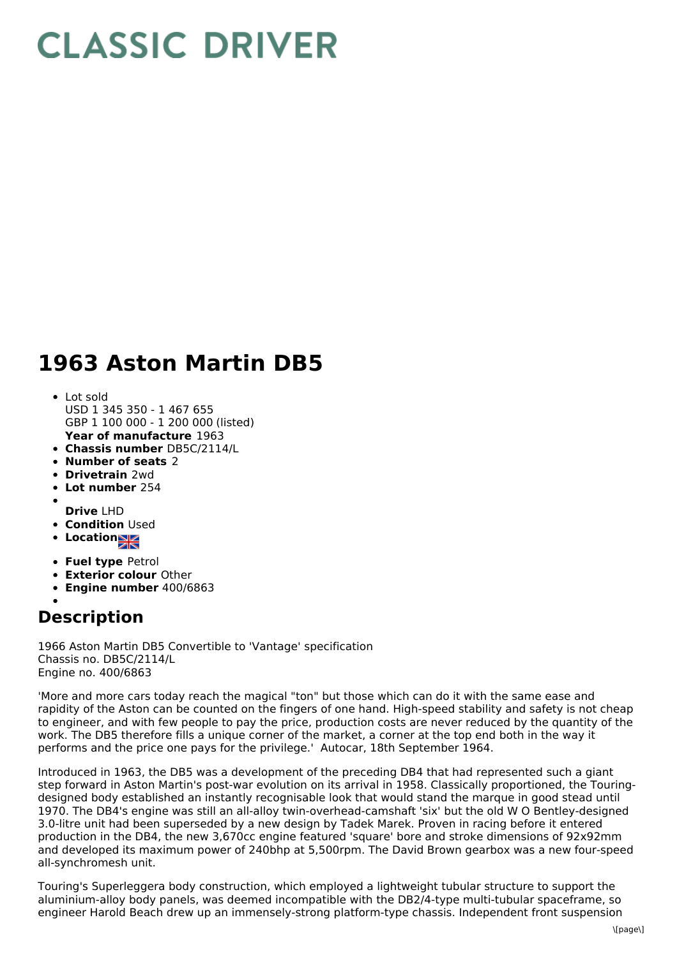## **CLASSIC DRIVER**

## **1963 Aston Martin DB5**

- **Year of manufacture** 1963 Lot sold USD 1 345 350 - 1 467 655 GBP 1 100 000 - 1 200 000 (listed)
- **Chassis number** DB5C/2114/L
- **Number of seats** 2
- **Drivetrain** 2wd
- **Lot number** 254
- **Drive** LHD
- **Condition Used**
- 
- **Location**
- **Fuel type** Petrol
- **Exterior colour** Other
- **Engine number** 400/6863

## **Description**

1966 Aston Martin DB5 Convertible to 'Vantage' specification Chassis no. DB5C/2114/L Engine no. 400/6863

'More and more cars today reach the magical "ton" but those which can do it with the same ease and rapidity of the Aston can be counted on the fingers of one hand. High-speed stability and safety is not cheap to engineer, and with few people to pay the price, production costs are never reduced by the quantity of the work. The DB5 therefore fills a unique corner of the market, a corner at the top end both in the way it performs and the price one pays for the privilege.' Autocar, 18th September 1964.

Introduced in 1963, the DB5 was a development of the preceding DB4 that had represented such a giant step forward in Aston Martin's post-war evolution on its arrival in 1958. Classically proportioned, the Touringdesigned body established an instantly recognisable look that would stand the marque in good stead until 1970. The DB4's engine was still an all-alloy twin-overhead-camshaft 'six' but the old W O Bentley-designed 3.0-litre unit had been superseded by a new design by Tadek Marek. Proven in racing before it entered production in the DB4, the new 3,670cc engine featured 'square' bore and stroke dimensions of 92x92mm and developed its maximum power of 240bhp at 5,500rpm. The David Brown gearbox was a new four-speed all-synchromesh unit.

Touring's Superleggera body construction, which employed a lightweight tubular structure to support the aluminium-alloy body panels, was deemed incompatible with the DB2/4-type multi-tubular spaceframe, so engineer Harold Beach drew up an immensely-strong platform-type chassis. Independent front suspension